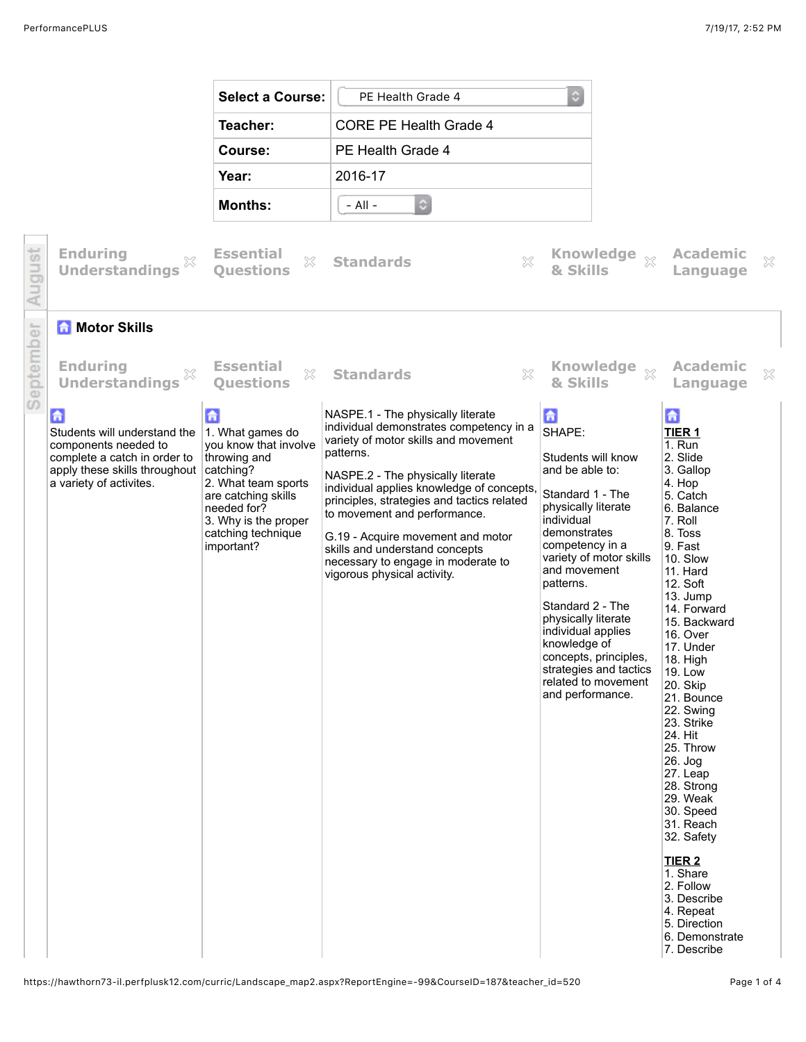|                                   |                                                                                                                                                                  | <b>Select a Course:</b>                                                                                                                                                                              | PE Health Grade 4                                                                                                                                                                                                                                                                                                                                                                                                                             | $\circ$                                                                                                                                                                                                                                                                                                                                                                                 |                                                                                                                                                                                                                                                                                                                                                                                                                                                                                                                                                            |
|-----------------------------------|------------------------------------------------------------------------------------------------------------------------------------------------------------------|------------------------------------------------------------------------------------------------------------------------------------------------------------------------------------------------------|-----------------------------------------------------------------------------------------------------------------------------------------------------------------------------------------------------------------------------------------------------------------------------------------------------------------------------------------------------------------------------------------------------------------------------------------------|-----------------------------------------------------------------------------------------------------------------------------------------------------------------------------------------------------------------------------------------------------------------------------------------------------------------------------------------------------------------------------------------|------------------------------------------------------------------------------------------------------------------------------------------------------------------------------------------------------------------------------------------------------------------------------------------------------------------------------------------------------------------------------------------------------------------------------------------------------------------------------------------------------------------------------------------------------------|
|                                   |                                                                                                                                                                  | Teacher:                                                                                                                                                                                             | <b>CORE PE Health Grade 4</b>                                                                                                                                                                                                                                                                                                                                                                                                                 |                                                                                                                                                                                                                                                                                                                                                                                         |                                                                                                                                                                                                                                                                                                                                                                                                                                                                                                                                                            |
|                                   |                                                                                                                                                                  | Course:                                                                                                                                                                                              | PE Health Grade 4                                                                                                                                                                                                                                                                                                                                                                                                                             |                                                                                                                                                                                                                                                                                                                                                                                         |                                                                                                                                                                                                                                                                                                                                                                                                                                                                                                                                                            |
|                                   |                                                                                                                                                                  | Year:                                                                                                                                                                                                | 2016-17                                                                                                                                                                                                                                                                                                                                                                                                                                       |                                                                                                                                                                                                                                                                                                                                                                                         |                                                                                                                                                                                                                                                                                                                                                                                                                                                                                                                                                            |
|                                   |                                                                                                                                                                  | <b>Months:</b>                                                                                                                                                                                       | $\Diamond$<br>$-$ All $-$                                                                                                                                                                                                                                                                                                                                                                                                                     |                                                                                                                                                                                                                                                                                                                                                                                         |                                                                                                                                                                                                                                                                                                                                                                                                                                                                                                                                                            |
|                                   | <b>Enduring</b><br><b>Understandings</b>                                                                                                                         | <b>Essential</b><br>X<br><b>Ouestions</b>                                                                                                                                                            | $\gtrsim$<br><b>Standards</b>                                                                                                                                                                                                                                                                                                                                                                                                                 | Knowledge xx<br>& Skills                                                                                                                                                                                                                                                                                                                                                                | <b>Academic</b><br>×<br>Language                                                                                                                                                                                                                                                                                                                                                                                                                                                                                                                           |
| ā                                 | <b>A</b> Motor Skills                                                                                                                                            |                                                                                                                                                                                                      |                                                                                                                                                                                                                                                                                                                                                                                                                                               |                                                                                                                                                                                                                                                                                                                                                                                         |                                                                                                                                                                                                                                                                                                                                                                                                                                                                                                                                                            |
| g<br>$\frac{\Omega}{\omega}$<br>D | <b>Enduring</b><br>$\chi$<br><b>Understandings</b>                                                                                                               | <b>Essential</b><br>53<br><b>Ouestions</b>                                                                                                                                                           | $\mathbb{X}$<br><b>Standards</b>                                                                                                                                                                                                                                                                                                                                                                                                              | <b>Knowledge</b><br>$\mathbb{X}$<br>& Skills                                                                                                                                                                                                                                                                                                                                            | <b>Academic</b><br>$\mathbb{X}$<br>Language                                                                                                                                                                                                                                                                                                                                                                                                                                                                                                                |
|                                   | $\mathbf{G}$<br>Students will understand the<br>components needed to<br>complete a catch in order to<br>apply these skills throughout<br>a variety of activites. | £<br>1. What games do<br>you know that involve<br>throwing and<br>catching?<br>2. What team sports<br>are catching skills<br>needed for?<br>3. Why is the proper<br>catching technique<br>important? | NASPE.1 - The physically literate<br>individual demonstrates competency in a<br>variety of motor skills and movement<br>patterns.<br>NASPE.2 - The physically literate<br>individual applies knowledge of concepts.<br>principles, strategies and tactics related<br>to movement and performance.<br>G.19 - Acquire movement and motor<br>skills and understand concepts<br>necessary to engage in moderate to<br>vigorous physical activity. | 孟<br>SHAPE:<br>Students will know<br>and be able to:<br>Standard 1 - The<br>physically literate<br>individual<br>demonstrates<br>competency in a<br>variety of motor skills<br>and movement<br>patterns.<br>Standard 2 - The<br>physically literate<br>individual applies<br>knowledge of<br>concepts, principles,<br>strategies and tactics<br>related to movement<br>and performance. | 6<br>TIER <sub>1</sub><br>1. Run<br>2. Slide<br>3. Gallop<br>4. Hop<br>5. Catch<br>6. Balance<br>7. Roll<br>8. Toss<br>9. Fast<br>10. Slow<br>11. Hard<br>12. Soft<br>13. Jump<br>14. Forward<br>15. Backward<br>16. Over<br>17. Under<br>18. High<br>19. Low<br>20. Skip<br>21. Bounce<br>22. Swing<br>23. Strike<br>24. Hit<br>25. Throw<br>26. Jog<br>27. Leap<br>28. Strong<br>29. Weak<br>30. Speed<br>31. Reach<br>32. Safety<br><b>TIER 2</b><br>1. Share<br>2. Follow<br>3. Describe<br>4. Repeat<br>5. Direction<br>6. Demonstrate<br>7. Describe |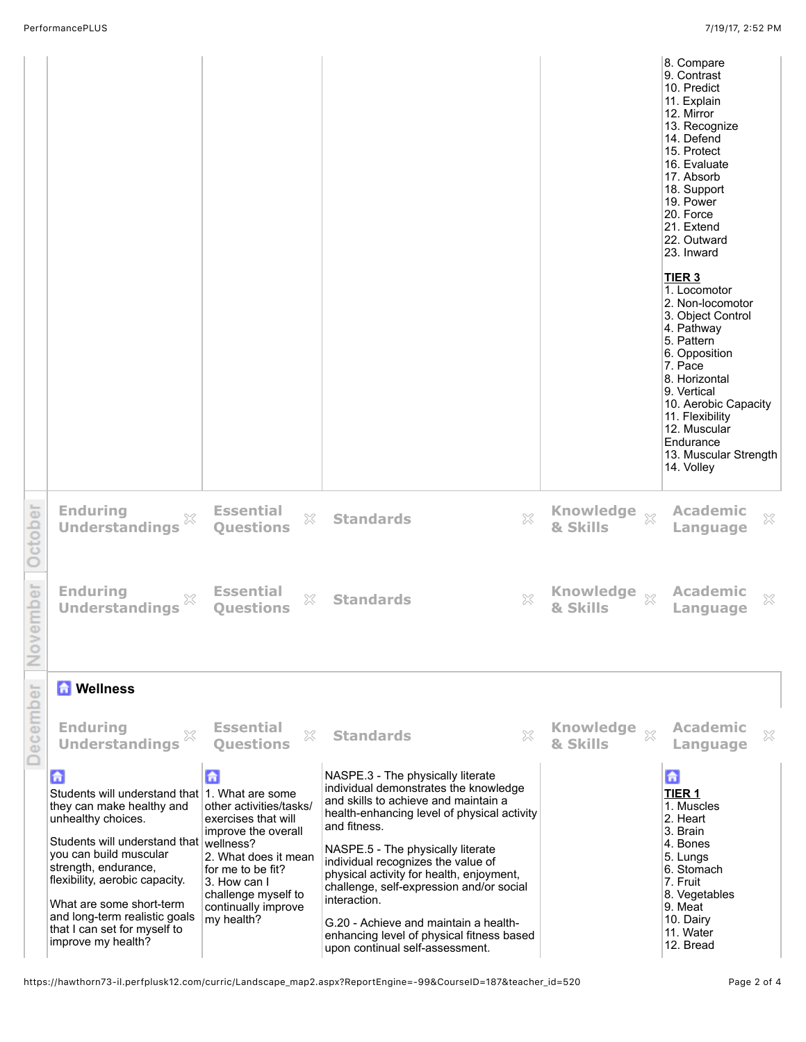|                                                                                                                                                                                                                                                                                                                                                          |                                                                                                                                                                                                     |                                                                                                                                                                                                                                                                                                                                                                                                                                                                                               |                                        | 8. Compare<br>9. Contrast<br>10. Predict<br>11. Explain<br>12. Mirror<br>13. Recognize<br>14. Defend<br>15. Protect<br>16. Evaluate<br>17. Absorb<br>18. Support<br>19. Power<br>20. Force<br>21. Extend<br>22. Outward<br>23. Inward<br><b>TIER 3</b><br>1. Locomotor<br>2. Non-locomotor<br>3. Object Control<br>4. Pathway<br>5. Pattern<br>6. Opposition<br>7. Pace<br>8. Horizontal<br>9. Vertical<br>10. Aerobic Capacity<br>11. Flexibility<br>12. Muscular<br>Endurance<br>13. Muscular Strength<br>14. Volley |
|----------------------------------------------------------------------------------------------------------------------------------------------------------------------------------------------------------------------------------------------------------------------------------------------------------------------------------------------------------|-----------------------------------------------------------------------------------------------------------------------------------------------------------------------------------------------------|-----------------------------------------------------------------------------------------------------------------------------------------------------------------------------------------------------------------------------------------------------------------------------------------------------------------------------------------------------------------------------------------------------------------------------------------------------------------------------------------------|----------------------------------------|------------------------------------------------------------------------------------------------------------------------------------------------------------------------------------------------------------------------------------------------------------------------------------------------------------------------------------------------------------------------------------------------------------------------------------------------------------------------------------------------------------------------|
| <b>Enduring</b><br>×<br><b>Understandings</b>                                                                                                                                                                                                                                                                                                            | <b>Essential</b><br>X<br><b>Questions</b>                                                                                                                                                           | $\chi$<br><b>Standards</b>                                                                                                                                                                                                                                                                                                                                                                                                                                                                    | <b>Knowledge</b><br>$\chi$<br>& Skills | <b>Academic</b><br>X<br>Language                                                                                                                                                                                                                                                                                                                                                                                                                                                                                       |
| <b>Enduring</b><br><b>Understandings</b>                                                                                                                                                                                                                                                                                                                 | <b>Essential</b><br>X<br><b>Ouestions</b>                                                                                                                                                           | $\gtrsim$<br><b>Standards</b>                                                                                                                                                                                                                                                                                                                                                                                                                                                                 | Knowledge xx<br>& Skills               | <b>Academic</b><br>X<br>Language                                                                                                                                                                                                                                                                                                                                                                                                                                                                                       |
| <b>A</b> Wellness                                                                                                                                                                                                                                                                                                                                        |                                                                                                                                                                                                     |                                                                                                                                                                                                                                                                                                                                                                                                                                                                                               |                                        |                                                                                                                                                                                                                                                                                                                                                                                                                                                                                                                        |
| <b>Enduring</b><br><b>Understandings</b>                                                                                                                                                                                                                                                                                                                 | <b>Essential</b><br>X<br><b>Ouestions</b>                                                                                                                                                           | X<br><b>Standards</b>                                                                                                                                                                                                                                                                                                                                                                                                                                                                         | <b>Knowledge</b><br>$\chi$<br>& Skills | <b>Academic</b><br>X<br>Language                                                                                                                                                                                                                                                                                                                                                                                                                                                                                       |
| 台<br>Students will understand that 1. What are some<br>they can make healthy and<br>unhealthy choices.<br>Students will understand that wellness?<br>you can build muscular<br>strength, endurance,<br>flexibility, aerobic capacity.<br>What are some short-term<br>and long-term realistic goals<br>that I can set for myself to<br>improve my health? | A<br>other activities/tasks/<br>exercises that will<br>improve the overall<br>2. What does it mean<br>for me to be fit?<br>3. How can I<br>challenge myself to<br>continually improve<br>my health? | NASPE.3 - The physically literate<br>individual demonstrates the knowledge<br>and skills to achieve and maintain a<br>health-enhancing level of physical activity<br>and fitness.<br>NASPE.5 - The physically literate<br>individual recognizes the value of<br>physical activity for health, enjoyment,<br>challenge, self-expression and/or social<br>interaction.<br>G.20 - Achieve and maintain a health-<br>enhancing level of physical fitness based<br>upon continual self-assessment. |                                        | 6<br><b>TIER 1</b><br>1. Muscles<br>2. Heart<br>3. Brain<br>4. Bones<br>5. Lungs<br>6. Stomach<br>7. Fruit<br>8. Vegetables<br>9. Meat<br>10. Dairy<br>11. Water<br>12. Bread                                                                                                                                                                                                                                                                                                                                          |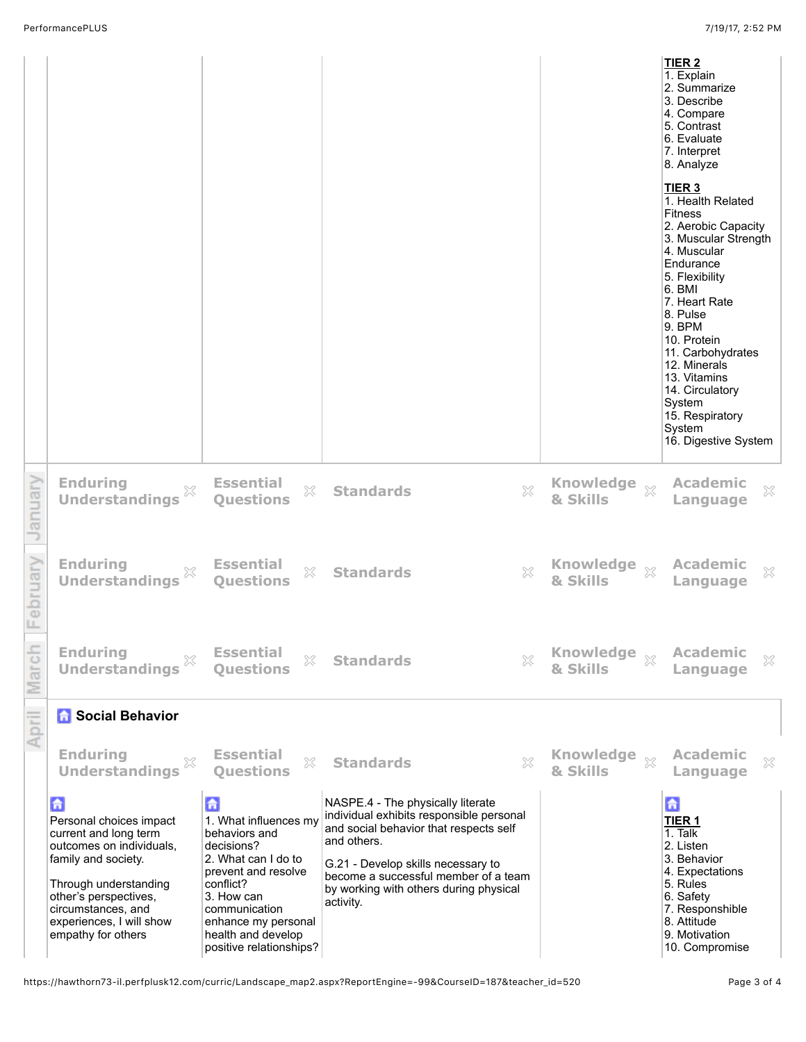|         |                                                                                                                                                                                                                                    |                                                                                                                                                                                                                             |                                                                                                                                                                                                                                                                             |                                        | TIER <sub>2</sub><br>1. Explain<br>2. Summarize<br>3. Describe<br>4. Compare<br>5. Contrast<br>6. Evaluate<br>7. Interpret<br>8. Analyze<br>TIER <sub>3</sub><br>1. Health Related<br><b>Fitness</b><br>2. Aerobic Capacity<br>3. Muscular Strength<br>4. Muscular<br>Endurance<br>5. Flexibility<br>6. BMI<br>7. Heart Rate<br>8. Pulse<br>9. BPM<br>10. Protein<br>11. Carbohydrates<br>12. Minerals<br>13. Vitamins<br>14. Circulatory<br>System<br>15. Respiratory<br>System<br>16. Digestive System |
|---------|------------------------------------------------------------------------------------------------------------------------------------------------------------------------------------------------------------------------------------|-----------------------------------------------------------------------------------------------------------------------------------------------------------------------------------------------------------------------------|-----------------------------------------------------------------------------------------------------------------------------------------------------------------------------------------------------------------------------------------------------------------------------|----------------------------------------|----------------------------------------------------------------------------------------------------------------------------------------------------------------------------------------------------------------------------------------------------------------------------------------------------------------------------------------------------------------------------------------------------------------------------------------------------------------------------------------------------------|
| anuary  | <b>Enduring</b><br>X<br><b>Understandings</b>                                                                                                                                                                                      | <b>Essential</b><br>53<br><b>Ouestions</b>                                                                                                                                                                                  | $\Im$<br><b>Standards</b>                                                                                                                                                                                                                                                   | Knowledge xx<br>& Skills               | <b>Academic</b><br>$\mathbb{X}$<br>Language                                                                                                                                                                                                                                                                                                                                                                                                                                                              |
| ebruary | <b>Enduring</b><br>×<br><b>Understandings</b>                                                                                                                                                                                      | <b>Essential</b><br>$\mathbb{S}^2$<br><b>Questions</b>                                                                                                                                                                      | $\gtrsim$<br><b>Standards</b>                                                                                                                                                                                                                                               | & Skills                               | <b>Academic</b><br>$\mathbb{X}$<br>Language                                                                                                                                                                                                                                                                                                                                                                                                                                                              |
| arcn    | <b>Enduring</b><br><b>Understandings</b>                                                                                                                                                                                           | <b>Essential</b><br>X<br><b>Ouestions</b>                                                                                                                                                                                   | ×<br><b>Standards</b>                                                                                                                                                                                                                                                       | Knowledge xx<br>& Skills               | <b>Academic</b><br>$\gtrsim$<br>Language                                                                                                                                                                                                                                                                                                                                                                                                                                                                 |
| April   | <b>A</b> Social Behavior                                                                                                                                                                                                           |                                                                                                                                                                                                                             |                                                                                                                                                                                                                                                                             |                                        |                                                                                                                                                                                                                                                                                                                                                                                                                                                                                                          |
|         | <b>Enduring</b><br>×<br><b>Understandings</b>                                                                                                                                                                                      | <b>Essential</b><br>$\chi$<br><b>Ouestions</b>                                                                                                                                                                              | 53<br><b>Standards</b>                                                                                                                                                                                                                                                      | <b>Knowledge</b><br>$\chi$<br>& Skills | <b>Academic</b><br>X<br>Language                                                                                                                                                                                                                                                                                                                                                                                                                                                                         |
|         | 6<br>Personal choices impact<br>current and long term<br>outcomes on individuals,<br>family and society.<br>Through understanding<br>other's perspectives,<br>circumstances, and<br>experiences, I will show<br>empathy for others | 6<br>1. What influences my<br>behaviors and<br>decisions?<br>2. What can I do to<br>prevent and resolve<br>conflict?<br>3. How can<br>communication<br>enhance my personal<br>health and develop<br>positive relationships? | NASPE.4 - The physically literate<br>individual exhibits responsible personal<br>and social behavior that respects self<br>and others.<br>G.21 - Develop skills necessary to<br>become a successful member of a team<br>by working with others during physical<br>activity. |                                        | 合<br><b>TIER 1</b><br>$1.$ Talk<br>2. Listen<br>3. Behavior<br>4. Expectations<br>5. Rules<br>6. Safety<br>7. Responshible<br>8. Attitude<br>9. Motivation<br>10. Compromise                                                                                                                                                                                                                                                                                                                             |